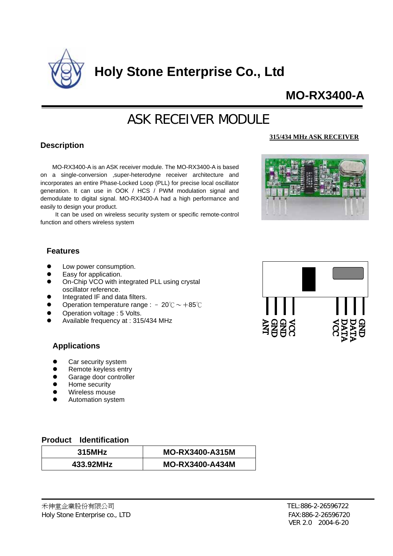

**Holy Stone Enterprise Co., Ltd** 

## **MO-RX3400-A**

# ASK RECEIVER MODULE

#### **Description**

MO-RX3400-A is an ASK receiver module. The MO-RX3400-A is based on a single-conversion ,super-heterodyne receiver architecture and incorporates an entire Phase-Locked Loop (PLL) for precise local oscillator generation. It can use in OOK / HCS / PWM modulation signal and demodulate to digital signal. MO-RX3400-A had a high performance and easily to design your product.

It can be used on wireless security system or specific remote-control function and others wireless system

#### **315/434 MHz ASK RECEIVER**



#### **Features**

- Low power consumption.
- Easy for application.
- On-Chip VCO with integrated PLL using crystal oscillator reference.
- Integrated IF and data filters.
- Operation temperature range :  $-20^{\circ}\text{C} \sim +85^{\circ}\text{C}$
- Operation voltage : 5 Volts.
- Available frequency at : 315/434 MHz

#### **Applications**

- Car security system
- Remote keyless entry
- Garage door controller
- Home security
- Wireless mouse
- Automation system

#### **roduct Identification P**

| 315MHz    | <b>MO-RX3400-A315M</b> |
|-----------|------------------------|
| 433.92MHz | <b>MO-RX3400-A434M</b> |

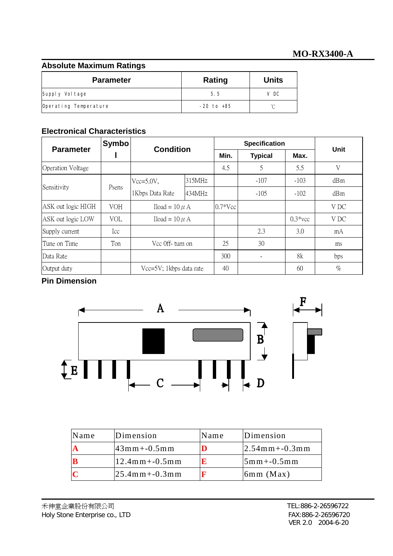#### **Abso lute Maximum Ratings**

| <b>Parameter</b>      | Rating         | <b>Units</b> |
|-----------------------|----------------|--------------|
| Supply Voltage        | 5.5            | V DC         |
| Operating Temperature | $-20$ to $+85$ |              |

#### **Electronical Characteristics**

| <b>Parameter</b>         | <b>Symbo</b> | <b>Condition</b>        |        | <b>Specification</b> |                |            | Unit |
|--------------------------|--------------|-------------------------|--------|----------------------|----------------|------------|------|
|                          |              |                         |        | Min.                 | <b>Typical</b> | Max.       |      |
| <b>Operation Voltage</b> |              |                         |        | 4.5                  | 5              | 5.5        | V    |
| Sensitivity              | Psens        | $Vcc=5.0V$ ,            | 315MHz |                      | $-107$         | $-103$     | dBm  |
|                          |              | 1Kbps Data Rate         | 434MHz |                      | $-105$         | $-102$     | dBm  |
| ASK out logic HIGH       | <b>VOH</b>   | Iload = $10 \mu$ A      |        | $0.7*Vec$            |                |            | V DC |
| ASK out logic LOW        | <b>VOL</b>   | Iload = $10 \mu$ A      |        |                      |                | $0.3*$ vcc | V DC |
| Supply current           | Icc          |                         |        |                      | 2.3            | 3.0        | mA   |
| Tune on Time             | Ton          | Vcc 0ff-turn on         |        | 25                   | 30             |            | ms   |
| Data Rate                |              |                         |        | 300                  |                | 8k         | bps  |
| Output duty              |              | Vcc=5V; 1kbps data rate |        | 40                   |                | 60         | $\%$ |

### **Pin Dimension**



| Name | Dimension           | Name | Dimension           |
|------|---------------------|------|---------------------|
|      | $43mm + -0.5mm$     |      | $ 2.54$ mm + -0.3mm |
|      | $12.4$ mm + -0.5mm  | 10   | $5mm + -0.5mm$      |
|      | $ 25.4$ mm + -0.3mm |      | $6mm$ (Max)         |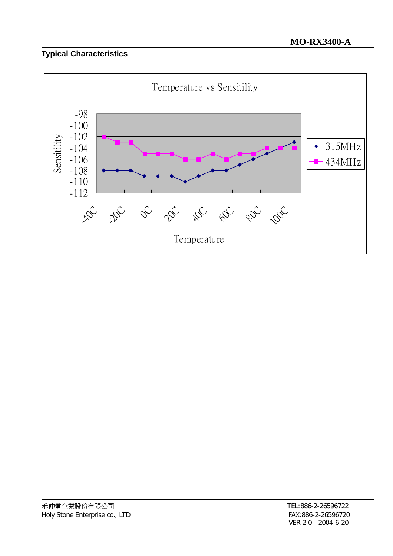## **Typical Characteristics**